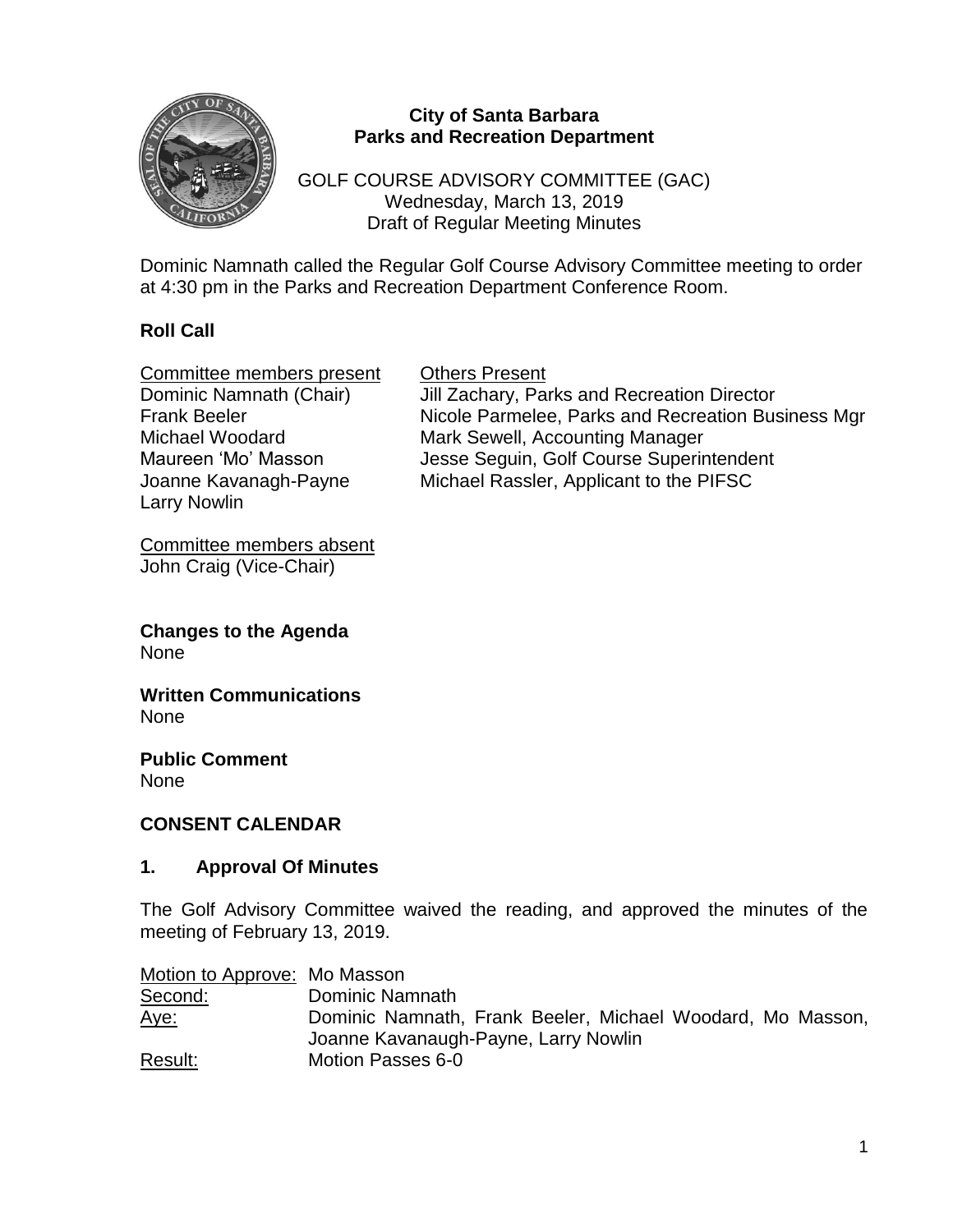

#### **City of Santa Barbara Parks and Recreation Department**

GOLF COURSE ADVISORY COMMITTEE (GAC) Wednesday, March 13, 2019 Draft of Regular Meeting Minutes

Dominic Namnath called the Regular Golf Course Advisory Committee meeting to order at 4:30 pm in the Parks and Recreation Department Conference Room.

# **Roll Call**

Committee members present Others Present Larry Nowlin

Dominic Namnath (Chair) Jill Zachary, Parks and Recreation Director Frank Beeler Nicole Parmelee, Parks and Recreation Business Mgr Michael Woodard Mark Sewell, Accounting Manager Maureen 'Mo' Masson Jesse Seguin, Golf Course Superintendent Joanne Kavanagh-Payne Michael Rassler, Applicant to the PIFSC

Committee members absent John Craig (Vice-Chair)

**Changes to the Agenda** None

**Written Communications** None

**Public Comment** None

#### **CONSENT CALENDAR**

#### **1. Approval Of Minutes**

The Golf Advisory Committee waived the reading, and approved the minutes of the meeting of February 13, 2019.

| Motion to Approve: Mo Masson |                                                            |
|------------------------------|------------------------------------------------------------|
| Second:                      | Dominic Namnath                                            |
| <u>Aye:</u>                  | Dominic Namnath, Frank Beeler, Michael Woodard, Mo Masson, |
|                              | Joanne Kavanaugh-Payne, Larry Nowlin                       |
| Result:                      | Motion Passes 6-0                                          |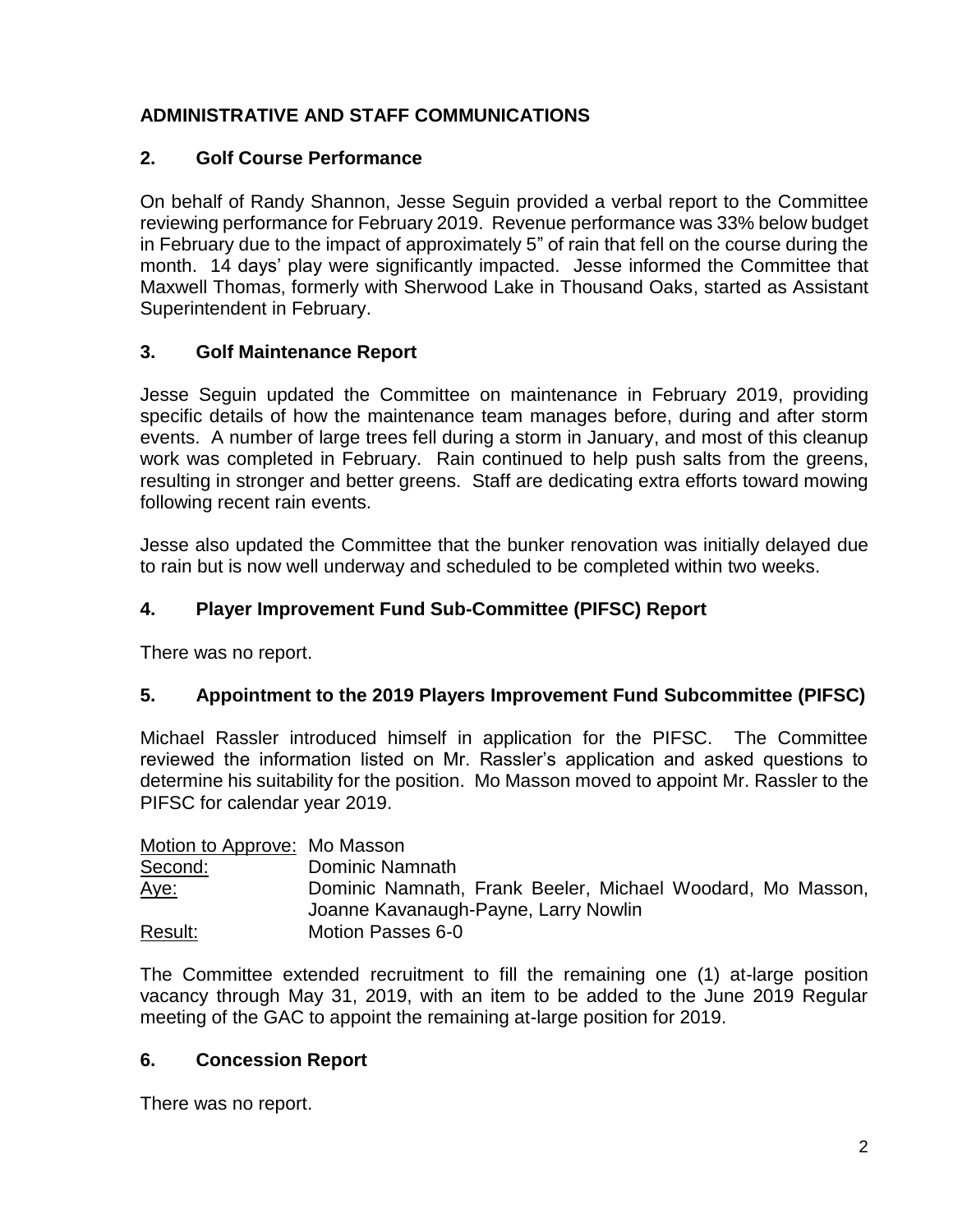# **ADMINISTRATIVE AND STAFF COMMUNICATIONS**

# **2. Golf Course Performance**

On behalf of Randy Shannon, Jesse Seguin provided a verbal report to the Committee reviewing performance for February 2019. Revenue performance was 33% below budget in February due to the impact of approximately 5" of rain that fell on the course during the month. 14 days' play were significantly impacted. Jesse informed the Committee that Maxwell Thomas, formerly with Sherwood Lake in Thousand Oaks, started as Assistant Superintendent in February.

# **3. Golf Maintenance Report**

Jesse Seguin updated the Committee on maintenance in February 2019, providing specific details of how the maintenance team manages before, during and after storm events. A number of large trees fell during a storm in January, and most of this cleanup work was completed in February. Rain continued to help push salts from the greens, resulting in stronger and better greens. Staff are dedicating extra efforts toward mowing following recent rain events.

Jesse also updated the Committee that the bunker renovation was initially delayed due to rain but is now well underway and scheduled to be completed within two weeks.

# **4. Player Improvement Fund Sub-Committee (PIFSC) Report**

There was no report.

## **5. Appointment to the 2019 Players Improvement Fund Subcommittee (PIFSC)**

Michael Rassler introduced himself in application for the PIFSC. The Committee reviewed the information listed on Mr. Rassler's application and asked questions to determine his suitability for the position. Mo Masson moved to appoint Mr. Rassler to the PIFSC for calendar year 2019.

| Motion to Approve: Mo Masson |                                                            |
|------------------------------|------------------------------------------------------------|
| Second:                      | Dominic Namnath                                            |
| <u>Aye:</u>                  | Dominic Namnath, Frank Beeler, Michael Woodard, Mo Masson, |
|                              | Joanne Kavanaugh-Payne, Larry Nowlin                       |
| Result:                      | Motion Passes 6-0                                          |

The Committee extended recruitment to fill the remaining one (1) at-large position vacancy through May 31, 2019, with an item to be added to the June 2019 Regular meeting of the GAC to appoint the remaining at-large position for 2019.

## **6. Concession Report**

There was no report.